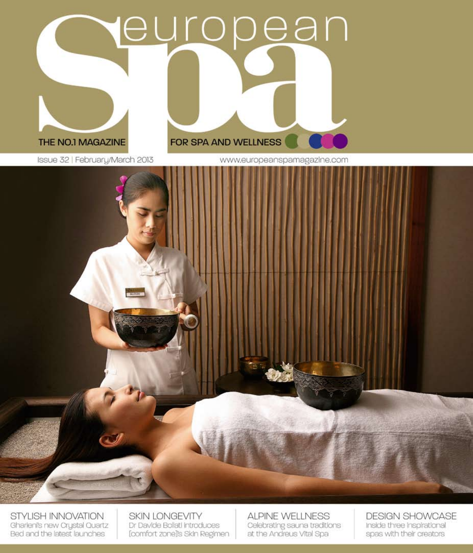# european



Issue 32 | February/March 2013

#### FOR SPA AND WELLNESS

www.europeanspamagazine.com



STYLISH INNOVATION Gharieni's new Crystal Quartz Bed and the latest launches

**SKIN LONGEVITY** Dr Davide Bollati introduces [comfort zone]'s Skin Regimen **ALPINE WELLNESS** Celebrating sauna traditions at the Andreus Vital Spa

**DESIGN SHOWCASE** Inside three Inspirational spas with their creators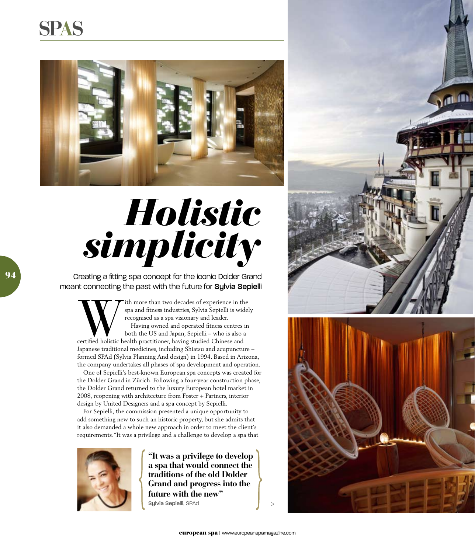## **spas**



## *Holistic simplicity*

Creating a fitting spa concept for the iconic Dolder Grand meant connecting the past with the future for Sylvia Sepielli

Tith more than two decades of experience in the spa and fitness industries, Sylvia Sepielli is widel recognised as a spa visionary and leader.<br>Having owned and operated fitness centres in both the US and Japan, Sepielli – spa and fitness industries, Sylvia Sepielli is widely recognised as a spa visionary and leader. Having owned and operated fitness centres in both the US and Japan, Sepielli – who is also a Japanese traditional medicines, including Shiatsu and acupuncture – formed SPAd (Sylvia Planning And design) in 1994. Based in Arizona, the company undertakes all phases of spa development and operation.

One of Sepielli's best-known European spa concepts was created for the Dolder Grand in Zürich. Following a four-year construction phase, the Dolder Grand returned to the luxury European hotel market in 2008, reopening with architecture from Foster + Partners, interior design by United Designers and a spa concept by Sepielli.

For Sepielli, the commission presented a unique opportunity to add something new to such an historic property, but she admits that it also demanded a whole new approach in order to meet the client's requirements. "It was a privilege and a challenge to develop a spa that



**"It was a privilege to develop a spa that would connect the traditions of the old Dolder Grand and progress into the future with the new"** Sylvia Sepielli, SPAd





 $\triangleright$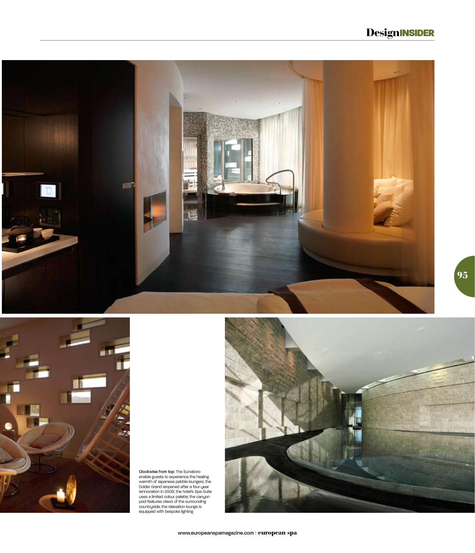#### **DesignINSIDER**





Clockwise from top: The Sunaboro<br>enable guests to experience the healing<br>evamth of Japanese pebble loungers; the<br>Dolder Grand reopened after a four-year<br>rennovation in 2008; the hotels Spa Sulte<br>uses a limited colour palet